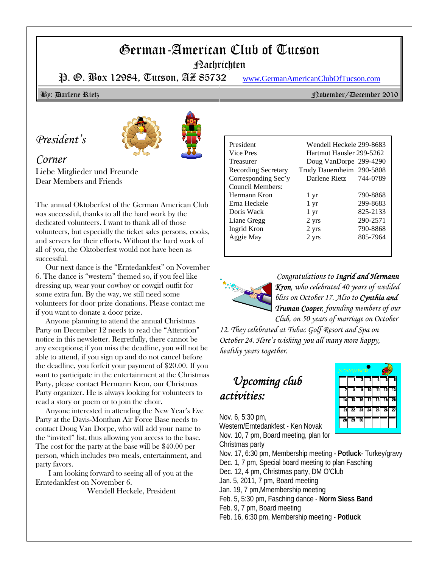# German-American Club of Tucson

Nachrichten

P. O. Box 12984, Tucson, AZ 85732 www.GermanAmericanClubOfTucson.com

#### By: Darlene Rietz November/December 2010

## *President's*



### *Corner*

Liebe Mitglieder und Freunde Dear Members and Friends

The annual Oktoberfest of the German American Club was successful, thanks to all the hard work by the dedicated volunteers. I want to thank all of those volunteers, but especially the ticket sales persons, cooks, and servers for their efforts. Without the hard work of all of you, the Oktoberfest would not have been as successful.

 Our next dance is the "Erntedankfest" on November 6. The dance is "western" themed so, if you feel like dressing up, wear your cowboy or cowgirl outfit for some extra fun. By the way, we still need some volunteers for door prize donations. Please contact me if you want to donate a door prize.

 Anyone planning to attend the annual Christmas Party on December 12 needs to read the "Attention" notice in this newsletter. Regretfully, there cannot be any exceptions; if you miss the deadline, you will not be able to attend, if you sign up and do not cancel before the deadline, you forfeit your payment of \$20.00. If you want to participate in the entertainment at the Christmas Party, please contact Hermann Kron, our Christmas Party organizer. He is always looking for volunteers to read a story or poem or to join the choir.

 Anyone interested in attending the New Year's Eve Party at the Davis-Monthan Air Force Base needs to contact Doug Van Dorpe, who will add your name to the "invited" list, thus allowing you access to the base. The cost for the party at the base will be \$40.00 per person, which includes two meals, entertainment, and party favors.

I am looking forward to seeing all of you at the Erntedankfest on November 6.

Wendell Heckele, President

#### President Wendell Heckele 299-8683 Vice Pres Hartmut Hausler 299-5262 Treasurer Doug VanDorpe 299-4290 Recording Secretary Trudy Dauernheim 290-5808 Corresponding Sec'y Darlene Rietz 744-0789 Council Members: Hermann Kron 1 yr 790-8868 Erna Heckele 1 yr 299-8683 Doris Wack 1 yr 825-2133 Liane Gregg 2 yrs 290-2571 Ingrid Kron 2 yrs 790-8868 Aggie May 2 yrs 885-7964



*Congratulations to Ingrid and Hermann Kron, who celebrated 40 years of wedded bliss on October 17. Also to Cynthia and Truman Cooper, founding members of our*

*Club, on 50 years of marriage on October 12. They celebrated at Tubac Golf Resort and Spa on October 24. Here's wishing you all many more happy, healthy years together.*

## *Upcoming club activities:*



Nov. 6, 5:30 pm, Western/Erntedankfest - Ken Novak Nov. 10, 7 pm, Board meeting, plan for

Christmas party Nov. 17, 6:30 pm, Membership meeting - **Potluck**- Turkey/gravy Dec. 1, 7 pm, Special board meeting to plan Fasching Dec. 12, 4 pm, Christmas party, DM O'Club Jan. 5, 2011, 7 pm, Board meeting Jan. 19, 7 pm,Mmembership meeting Feb. 5, 5:30 pm, Fasching dance - **Norm Siess Band** Feb. 9, 7 pm, Board meeting Feb. 16, 6:30 pm, Membership meeting - **Potluck**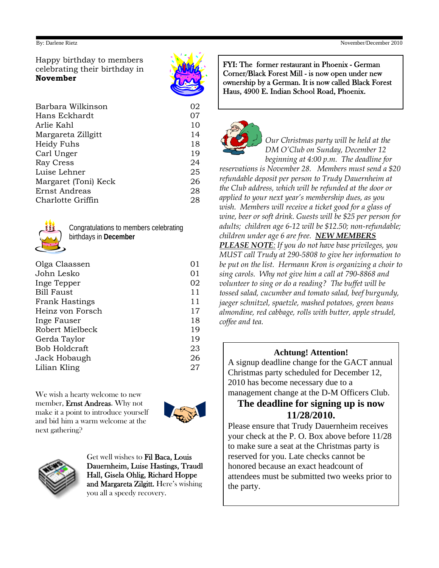Happy birthday to members celebrating their birthday in **November**



| Barbara Wilkinson    | 02 |
|----------------------|----|
| Hans Eckhardt        | 07 |
| Arlie Kahl           | 10 |
| Margareta Zillgitt   | 14 |
| Heidy Fuhs           | 18 |
| Carl Unger           | 19 |
| Ray Cress            | 24 |
| Luise Lehner         | 25 |
| Margaret (Toni) Keck | 26 |
| Ernst Andreas        | 28 |
| Charlotte Griffin    | 28 |
|                      |    |



Congratulations to members celebrating birthdays in **December**

| Olga Claassen         | 01 |
|-----------------------|----|
| John Lesko            | 01 |
| Inge Tepper           | 02 |
| <b>Bill Faust</b>     | 11 |
| <b>Frank Hastings</b> | 11 |
| Heinz von Forsch      | 17 |
| Inge Fauser           | 18 |
| Robert Mielbeck       | 19 |
| Gerda Taylor          | 19 |
| Bob Holdcraft         | 23 |
| Jack Hobaugh          | 26 |
| Lilian Kling          | 27 |
|                       |    |

We wish a hearty welcome to new member, Ernst Andreas. Why not make it a point to introduce yourself and bid him a warm welcome at the next gathering?





Get well wishes to Fil Baca, Louis Dauernheim, Luise Hastings, Traudl Hall, Gisela Ohlig, Richard Hoppe and Margareta Zilgitt. Here's wishing you all a speedy recovery.

FYI: The former restaurant in Phoenix - German Corner/Black Forest Mill - is now open under new ownership by a German. It is now called Black Forest Haus, 4900 E. Indian School Road, Phoenix.



*Our Christmas party will be held at the DM O'Club on Sunday, December 12 beginning at 4:00 p.m. The deadline for*

*reservations is November 28. Members must send a \$20 refundable deposit per person to Trudy Dauernheim at the Club address, which will be refunded at the door or applied to your next year's membership dues, as you wish. Members will receive a ticket good for a glass of wine, beer or soft drink. Guests will be \$25 per person for adults; children age 6-12 will be \$12.50; non-refundable; children under age 6 are free. NEW MEMBERS PLEASE NOTE: If you do not have base privileges, you MUST call Trudy at 290-5808 to give her information to be put on the list. Hermann Kron is organizing a choir to sing carols. Why not give him a call at 790-8868 and volunteer to sing or do a reading? The buffet will be tossed salad, cucumber and tomato salad, beef burgundy, jaeger schnitzel, spaetzle, mashed potatoes, green beans almondine, red cabbage, rolls with butter, apple strudel, coffee and tea.*

#### **Achtung! Attention!**

A signup deadline change for the GACT annual Christmas party scheduled for December 12, 2010 has become necessary due to a management change at the D-M Officers Club.

#### **The deadline for signing up is now 11/28/2010.**

Please ensure that Trudy Dauernheim receives your check at the P. O. Box above before 11/28 to make sure a seat at the Christmas party is reserved for you. Late checks cannot be honored because an exact headcount of attendees must be submitted two weeks prior to the party.